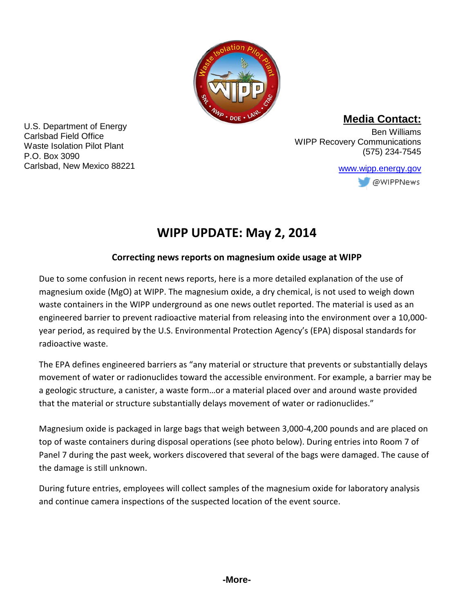

**Media Contact:**

U.S. Department of Energy Carlsbad Field Office Waste Isolation Pilot Plant P.O. Box 3090 Carlsbad, New Mexico 88221

Ben Williams WIPP Recovery Communications (575) 234-7545

> [www.wipp.energy.gov](http://www.wipp.energy.gov/)@WIPPNews

# **WIPP UPDATE: May 2, 2014**

## **Correcting news reports on magnesium oxide usage at WIPP**

Due to some confusion in recent news reports, here is a more detailed explanation of the use of magnesium oxide (MgO) at WIPP. The magnesium oxide, a dry chemical, is not used to weigh down waste containers in the WIPP underground as one news outlet reported. The material is used as an engineered barrier to prevent radioactive material from releasing into the environment over a 10,000 year period, as required by the U.S. Environmental Protection Agency's (EPA) disposal standards for radioactive waste.

The EPA defines engineered barriers as "any material or structure that prevents or substantially delays movement of water or radionuclides toward the accessible environment. For example, a barrier may be a geologic structure, a canister, a waste form…or a material placed over and around waste provided that the material or structure substantially delays movement of water or radionuclides."

Magnesium oxide is packaged in large bags that weigh between 3,000-4,200 pounds and are placed on top of waste containers during disposal operations (see photo below). During entries into Room 7 of Panel 7 during the past week, workers discovered that several of the bags were damaged. The cause of the damage is still unknown.

During future entries, employees will collect samples of the magnesium oxide for laboratory analysis and continue camera inspections of the suspected location of the event source.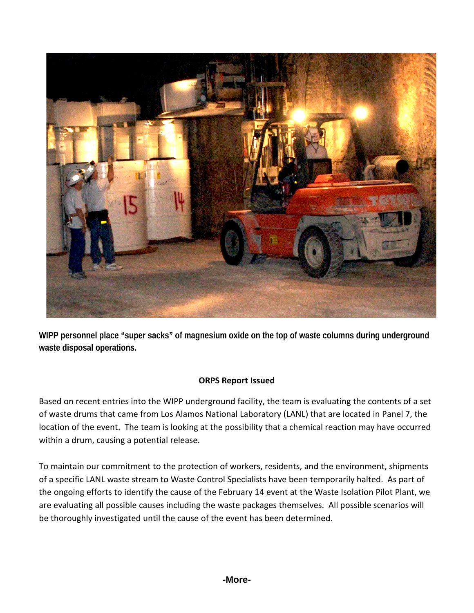

**WIPP personnel place "super sacks" of magnesium oxide on the top of waste columns during underground waste disposal operations.**

#### **ORPS Report Issued**

Based on recent entries into the WIPP underground facility, the team is evaluating the contents of a set of waste drums that came from Los Alamos National Laboratory (LANL) that are located in Panel 7, the location of the event. The team is looking at the possibility that a chemical reaction may have occurred within a drum, causing a potential release.

To maintain our commitment to the protection of workers, residents, and the environment, shipments of a specific LANL waste stream to Waste Control Specialists have been temporarily halted. As part of the ongoing efforts to identify the cause of the February 14 event at the Waste Isolation Pilot Plant, we are evaluating all possible causes including the waste packages themselves. All possible scenarios will be thoroughly investigated until the cause of the event has been determined.